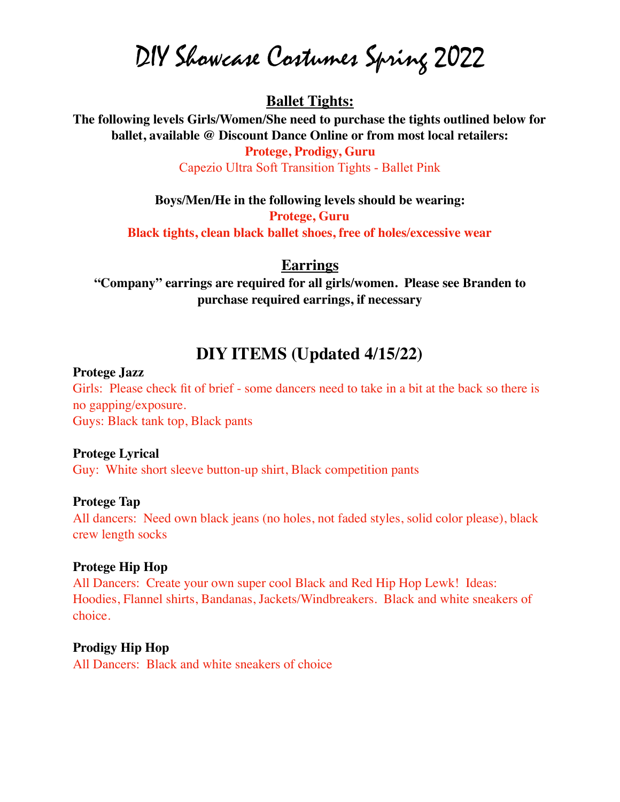DIY Showcase Costumes Spring 2022

# **Ballet Tights:**

**The following levels Girls/Women/She need to purchase the tights outlined below for ballet, available @ Discount Dance Online or from most local retailers:**

> **Protege, Prodigy, Guru** Capezio Ultra Soft Transition Tights - Ballet Pink

**Boys/Men/He in the following levels should be wearing:**

**Protege, Guru**

**Black tights, clean black ballet shoes, free of holes/excessive wear**

#### **Earrings**

**"Company" earrings are required for all girls/women. Please see Branden to purchase required earrings, if necessary**

# **DIY ITEMS (Updated 4/15/22)**

#### **Protege Jazz**

Girls: Please check fit of brief - some dancers need to take in a bit at the back so there is no gapping/exposure. Guys: Black tank top, Black pants

#### **Protege Lyrical**

Guy: White short sleeve button-up shirt, Black competition pants

#### **Protege Tap**

All dancers: Need own black jeans (no holes, not faded styles, solid color please), black crew length socks

#### **Protege Hip Hop**

All Dancers: Create your own super cool Black and Red Hip Hop Lewk! Ideas: Hoodies, Flannel shirts, Bandanas, Jackets/Windbreakers. Black and white sneakers of choice.

#### **Prodigy Hip Hop**

All Dancers: Black and white sneakers of choice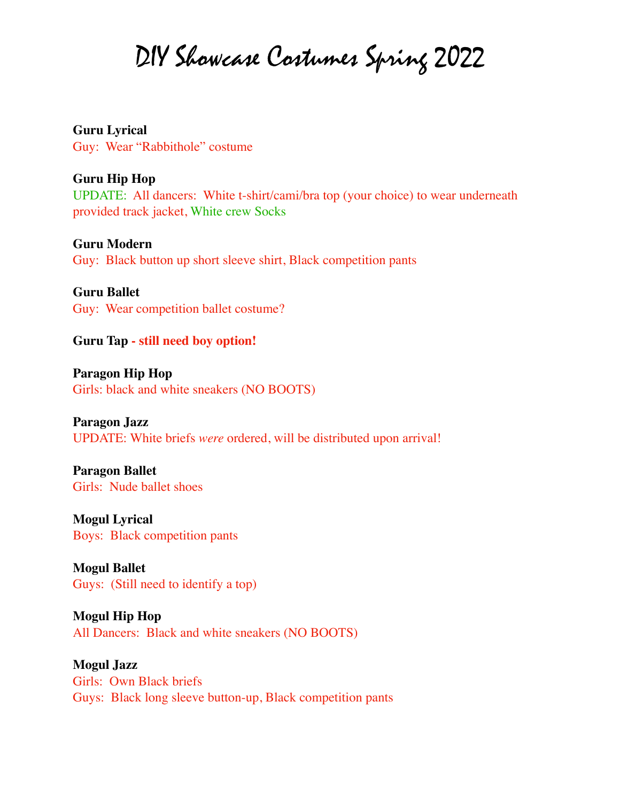DIY Showcase Costumes Spring 2022

**Guru Lyrical** Guy: Wear "Rabbithole" costume

# **Guru Hip Hop**

UPDATE: All dancers: White t-shirt/cami/bra top (your choice) to wear underneath provided track jacket, White crew Socks

**Guru Modern**

Guy: Black button up short sleeve shirt, Black competition pants

**Guru Ballet**

Guy: Wear competition ballet costume?

**Guru Tap - still need boy option!**

**Paragon Hip Hop** Girls: black and white sneakers (NO BOOTS)

**Paragon Jazz** UPDATE: White briefs *were* ordered, will be distributed upon arrival!

**Paragon Ballet** Girls: Nude ballet shoes

**Mogul Lyrical** Boys: Black competition pants

**Mogul Ballet** Guys: (Still need to identify a top)

**Mogul Hip Hop** All Dancers: Black and white sneakers (NO BOOTS)

**Mogul Jazz** Girls: Own Black briefs Guys: Black long sleeve button-up, Black competition pants